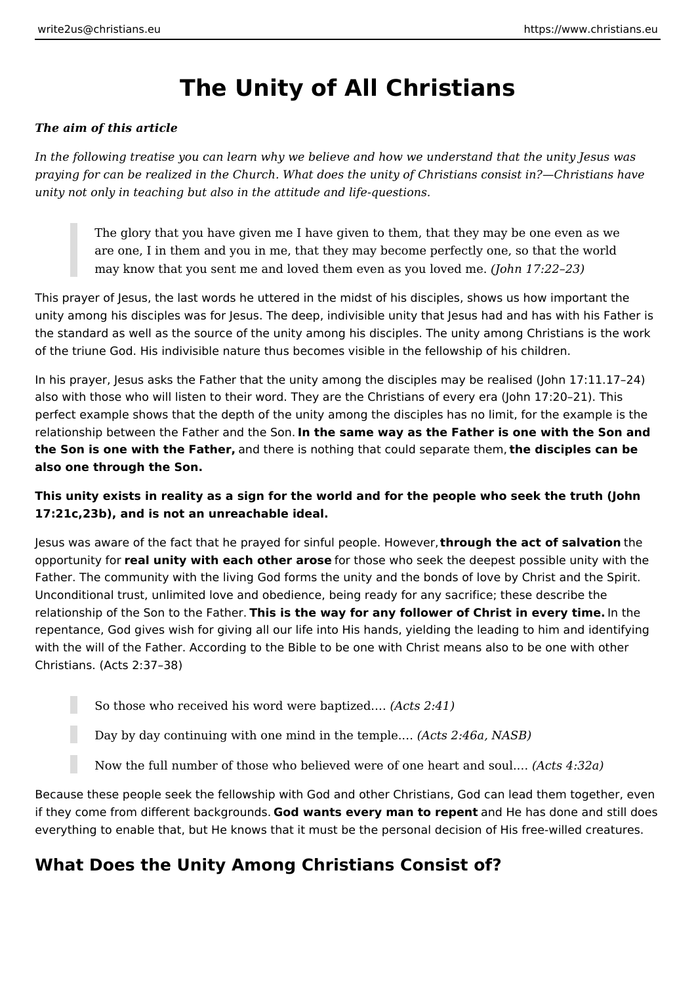# **The Unity of All Christians**

#### *The aim of this article*

*In the following treatise you can learn why we believe and how we understand that the unity Jesus was praying for can be realized in the Church. What does the unity of Christians consist in?—Christians have unity not only in teaching but also in the attitude and life-questions.*

The glory that you have given me I have given to them, that they may be one even as we are one, I in them and you in me, that they may become perfectly one, so that the world may know that you sent me and loved them even as you loved me. *(John 17:22–23)*

This prayer of Jesus, the last words he uttered in the midst of his disciples, shows us how important the unity among his disciples was for Jesus. The deep, indivisible unity that Jesus had and has with his Father is the standard as well as the source of the unity among his disciples. The unity among Christians is the work of the triune God. His indivisible nature thus becomes visible in the fellowship of his children.

In his prayer, Jesus asks the Father that the unity among the disciples may be realised (John 17:11.17–24) also with those who will listen to their word. They are the Christians of every era (John 17:20–21). This perfect example shows that the depth of the unity among the disciples has no limit, for the example is the relationship between the Father and the Son. **In the same way as the Father is one with the Son and the Son is one with the Father,** and there is nothing that could separate them, **the disciples can be also one through the Son.**

#### **This unity exists in reality as a sign for the world and for the people who seek the truth (John 17:21c,23b), and is not an unreachable ideal.**

Jesus was aware of the fact that he prayed for sinful people. However, **through the act of salvation** the opportunity for **real unity with each other arose** for those who seek the deepest possible unity with the Father. The community with the living God forms the unity and the bonds of love by Christ and the Spirit. Unconditional trust, unlimited love and obedience, being ready for any sacrifice; these describe the relationship of the Son to the Father. **This is the way for any follower of Christ in every time.** In the repentance, God gives wish for giving all our life into His hands, yielding the leading to him and identifying with the will of the Father. According to the Bible to be one with Christ means also to be one with other Christians. (Acts 2:37–38)

- So those who received his word were baptized.… *(Acts 2:41)*
	- Day by day continuing with one mind in the temple.… *(Acts 2:46a, NASB)*
	- Now the full number of those who believed were of one heart and soul.… *(Acts 4:32a)*

Because these people seek the fellowship with God and other Christians, God can lead them together, even if they come from different backgrounds. **God wants every man to repent** and He has done and still does everything to enable that, but He knows that it must be the personal decision of His free-willed creatures.

## **What Does the Unity Among Christians Consist of?**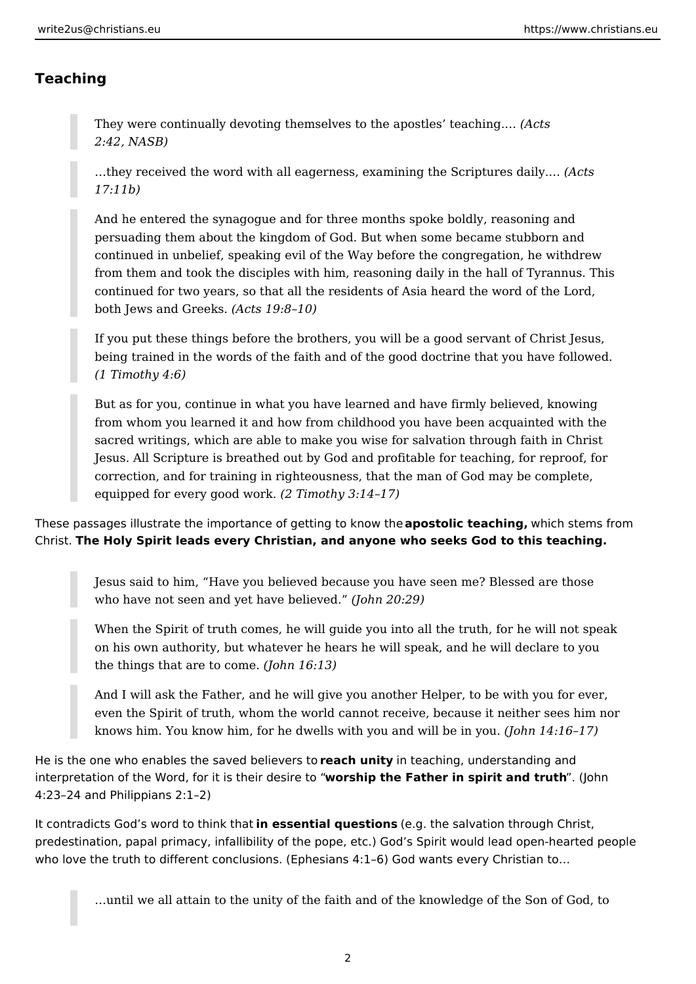### **Teaching**

They were continually devoting themselves to the apostles' teaching.… *(Acts 2:42, NASB)*

…they received the word with all eagerness, examining the Scriptures daily.… *(Acts 17:11b)*

And he entered the synagogue and for three months spoke boldly, reasoning and persuading them about the kingdom of God. But when some became stubborn and continued in unbelief, speaking evil of the Way before the congregation, he withdrew from them and took the disciples with him, reasoning daily in the hall of Tyrannus. This continued for two years, so that all the residents of Asia heard the word of the Lord, both Jews and Greeks. *(Acts 19:8–10)*

If you put these things before the brothers, you will be a good servant of Christ Jesus, being trained in the words of the faith and of the good doctrine that you have followed. *(1 Timothy 4:6)*

But as for you, continue in what you have learned and have firmly believed, knowing from whom you learned it and how from childhood you have been acquainted with the sacred writings, which are able to make you wise for salvation through faith in Christ Jesus. All Scripture is breathed out by God and profitable for teaching, for reproof, for correction, and for training in righteousness, that the man of God may be complete, equipped for every good work. *(2 Timothy 3:14–17)*

These passages illustrate the importance of getting to know the **apostolic teaching,** which stems from Christ. **The Holy Spirit leads every Christian, and anyone who seeks God to this teaching.**

Jesus said to him, "Have you believed because you have seen me? Blessed are those who have not seen and yet have believed." *(John 20:29)*

When the Spirit of truth comes, he will guide you into all the truth, for he will not speak on his own authority, but whatever he hears he will speak, and he will declare to you the things that are to come. *(John 16:13)*

And I will ask the Father, and he will give you another Helper, to be with you for ever, even the Spirit of truth, whom the world cannot receive, because it neither sees him nor knows him. You know him, for he dwells with you and will be in you. *(John 14:16–17)*

He is the one who enables the saved believers to **reach unity** in teaching, understanding and interpretation of the Word, for it is their desire to "**worship the Father in spirit and truth**". (John 4:23–24 and Philippians 2:1–2)

It contradicts God's word to think that **in essential questions** (e.g. the salvation through Christ, predestination, papal primacy, infallibility of the pope, etc.) God's Spirit would lead open-hearted people who love the truth to different conclusions. (Ephesians 4:1–6) God wants every Christian to…

…until we all attain to the unity of the faith and of the knowledge of the Son of God, to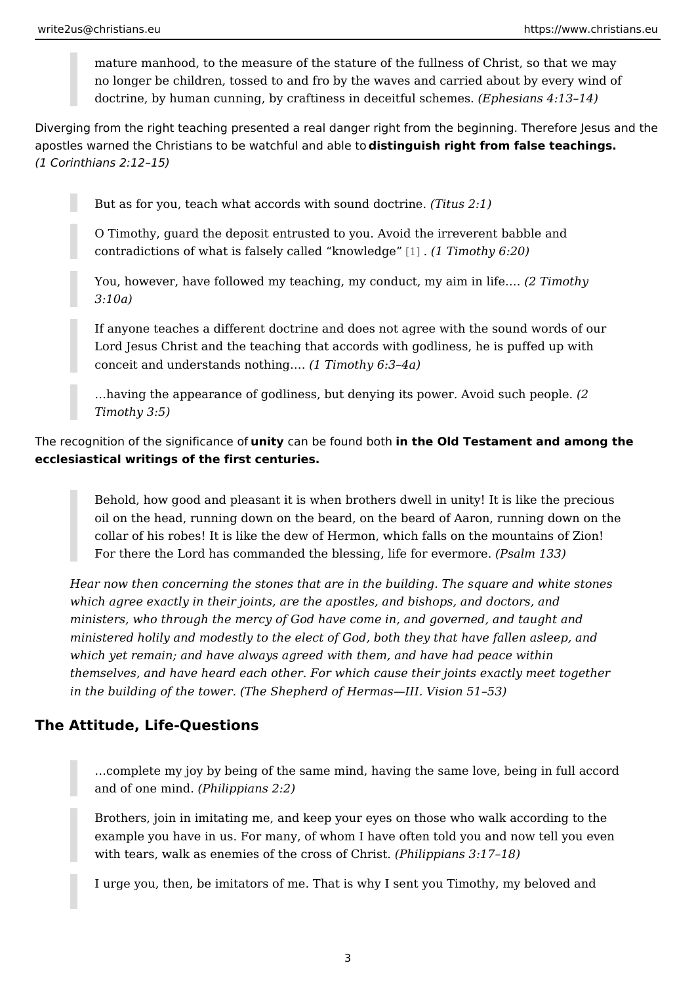mature manhood, to the measure of the stature of the fullness of Christ no longer be children, tossed to and fro by the waves and carried about doctrine, by human cunning, by craftiness in  $d$ (Ecpehiefsuila ssch $4e$ : mh $3e$ s14)

Diverging from the right teaching presented a real danger right from the beginni apostles warned the Christians to be watdhsfullnguids habring http from false teachings. (1 Corinthians 2:12 15)

But as for you, teach what accords with  $\beta$  bituad anothermical

O Timothy, guard the deposit entrusted to you. Avoid the irreverent bab contradictions of what is falsely call[ed](#page-3-0)  $k$ . (the original dividend  $(6:20)$ )

You, however, have followed my teaching, my condu(c2t, Tmingroathing in life. & 3:10a)

If anyone teaches a different doctrine and does not agree with the soun Lord Jesus Christ and the teaching that accords with godliness, he is p conceit and understands  $n(d$ thingo& hy 6:3 4a)

&having the appearance of godliness, but denying its pow \$2. Avoid such Timothy 3:5)

The recognition of the signimility cracre boot found brotthe Old Testament and among the ecclesiastical writings of the first centuries.

Behold, how good and pleasant it is when brothers dwell in unity! It is I oil on the head, running down on the beard, on the beard of Aaron, runr collar of his robes! It is like the dew of Hermon, which falls on the mou For there the Lord has commanded the blessing, (Pistelfrom 183 ermore.

Hear now then concerning the stones that are in the building. The square and Hearth which agree exactly in their joints, are the apostles, and bishops, and doc ministers, who through the mercy of God have come in, and governed, and ministered holily and modestly to the elect of God, both they that have fall which yet remain; and have always agreed with them, and have had peace themselves, and have heard each other. For which cause their joints exact in the building of the tower. (The Shepherd of Hermas III. Vision 51 53)

The Attitude, Life-Questions

&complete my joy by being of the same mind, having the same love, bei and of one m(i $R$ bdilippians 2:2)

Brothers, join in imitating me, and keep your eyes on those who walk ac example you have in us. For many, of whom I have often told you and no with tears, walk as enemies of the  $c$  (B bilipping Calminis 3:17 18)

I urge you, then, be imitators of me. That is why I sent you Timothy, my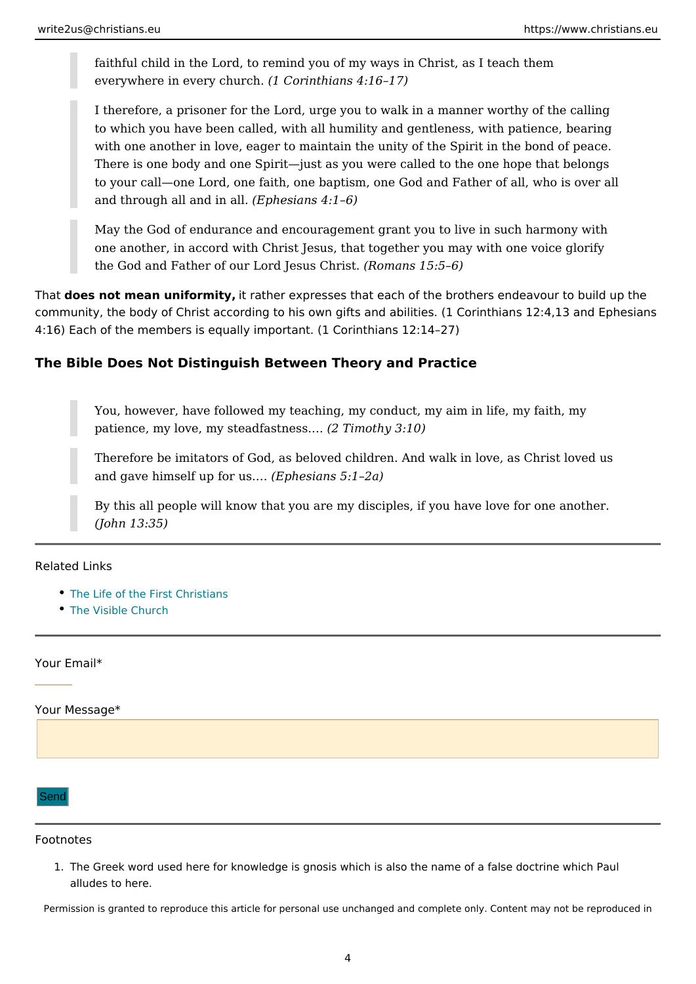<span id="page-3-0"></span>faithful child in the Lord, to remind you of my ways in Christ, as I teach everywhere in every  $(n + 1)(n + 1)$  church.  $(n + 1)(n + 1)$ 

I therefore, a prisoner for the Lord, urge you to walk in a manner worth to which you have been called, with all humility and gentleness, with pa with one another in love, eager to maintain the unity of the Spirit in the There is one body and one Spirit just as you were called to the one hop to your call one Lord, one faith, one baptism, one God and Father of all and through all and  $E$  pheels ians  $4:1\;6$ )

May the God of endurance and encouragement grant you to live in such one another, in accord with Christ Jesus, that together you may with on the God and Father of our Lord  $J$ essums a  $Q$  b rist. 5 6)

That does not mean uniformity ather expresses that each of the brothers endeavour community, the body of Christ according to his own gifts and abilities. (1 Corintl 4:16) Each of the members is equally important. (1 Corinthians 12:14 27)

The Bible Does Not Distinguish Between Theory and Practice

You, however, have followed my teaching, my conduct, my aim in life, m patience, my love, my steadf $a$ sT $n$ mess $h$ & 3:10)

Therefore be imitators of God, as beloved children. And walk in love, as and gave himself up  $f$ (dErptms. $\delta$ ans 5:1 2a)

By this all people will know that you are my disciples, if you have love (John 13:35)

Related Links

- [The Life of the First](https://www.christians.eu/firstchristians/) Christians
- [The Visible C](https://www.christians.eu/visible-church/)hurch

Your Email\*

Your Message\*

Send

Footnotes

1. The Greek word used here for knowledge is gnosis which is also the name of a fals alludes to here.

Permission is granted to reproduce this article for personal use unchanged and complete only. Content may